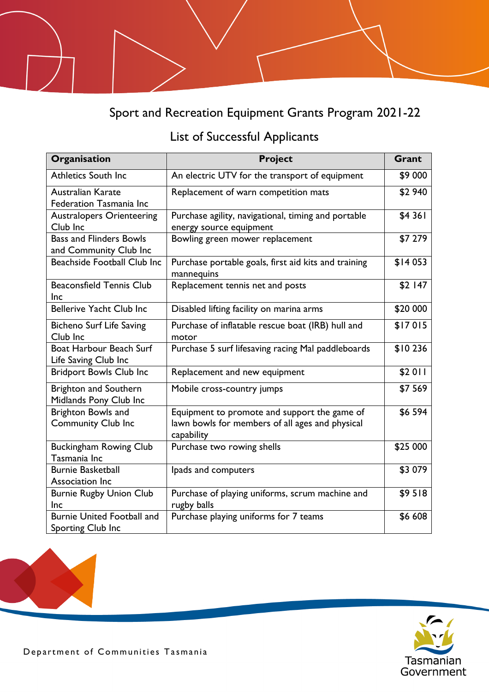## Sport and Recreation Equipment Grants Program 2021-22

## List of Successful Applicants

| Organisation                                             | <b>Project</b>                                                                                                | Grant    |
|----------------------------------------------------------|---------------------------------------------------------------------------------------------------------------|----------|
| Athletics South Inc                                      | An electric UTV for the transport of equipment                                                                | \$9 000  |
| Australian Karate<br>Federation Tasmania Inc             | Replacement of warn competition mats                                                                          | \$2 940  |
| <b>Australopers Orienteering</b><br>Club Inc             | Purchase agility, navigational, timing and portable<br>energy source equipment                                | \$4 361  |
| <b>Bass and Flinders Bowls</b><br>and Community Club Inc | Bowling green mower replacement                                                                               | \$7 279  |
| Beachside Football Club Inc                              | Purchase portable goals, first aid kits and training<br>mannequins                                            | \$14 053 |
| <b>Beaconsfield Tennis Club</b><br>Inc                   | Replacement tennis net and posts                                                                              | \$2 147  |
| Bellerive Yacht Club Inc                                 | Disabled lifting facility on marina arms                                                                      | \$20 000 |
| <b>Bicheno Surf Life Saving</b><br>Club Inc              | Purchase of inflatable rescue boat (IRB) hull and<br>motor                                                    | \$17015  |
| Boat Harbour Beach Surf<br>Life Saving Club Inc          | Purchase 5 surf lifesaving racing Mal paddleboards                                                            | \$10236  |
| <b>Bridport Bowls Club Inc</b>                           | Replacement and new equipment                                                                                 | \$2011   |
| <b>Brighton and Southern</b><br>Midlands Pony Club Inc   | Mobile cross-country jumps                                                                                    | \$7 569  |
| Brighton Bowls and<br><b>Community Club Inc</b>          | Equipment to promote and support the game of<br>lawn bowls for members of all ages and physical<br>capability | \$6 594  |
| <b>Buckingham Rowing Club</b><br>Tasmania Inc            | Purchase two rowing shells                                                                                    | \$25 000 |
| <b>Burnie Basketball</b><br>Association Inc              | lpads and computers                                                                                           | \$3 079  |
| <b>Burnie Rugby Union Club</b><br>Inc                    | Purchase of playing uniforms, scrum machine and<br>rugby balls                                                | \$9518   |
| <b>Burnie United Football and</b><br>Sporting Club Inc   | Purchase playing uniforms for 7 teams                                                                         | \$6 608  |

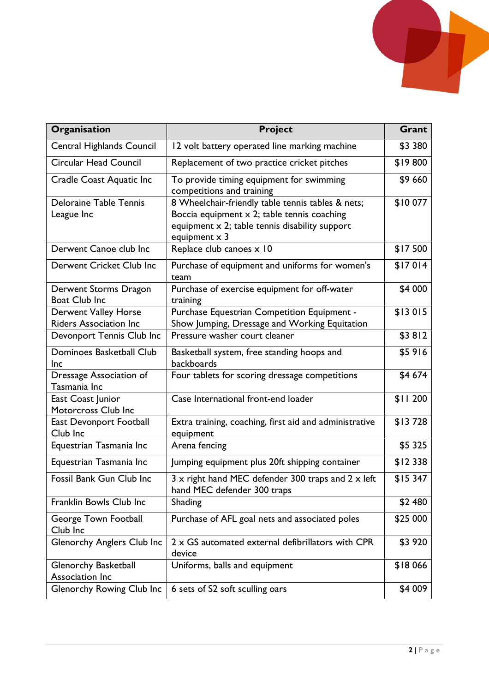

| Organisation                                                 | <b>Project</b>                                                                                                                                                             | Grant    |
|--------------------------------------------------------------|----------------------------------------------------------------------------------------------------------------------------------------------------------------------------|----------|
| Central Highlands Council                                    | 12 volt battery operated line marking machine                                                                                                                              | \$3 380  |
| Circular Head Council                                        | Replacement of two practice cricket pitches                                                                                                                                | \$19800  |
| <b>Cradle Coast Aquatic Inc</b>                              | To provide timing equipment for swimming<br>competitions and training                                                                                                      | \$9 660  |
| <b>Deloraine Table Tennis</b><br>League Inc                  | 8 Wheelchair-friendly table tennis tables & nets;<br>Boccia equipment x 2; table tennis coaching<br>equipment x 2; table tennis disability support<br>equipment $\times$ 3 | \$10077  |
| Derwent Canoe club Inc                                       | Replace club canoes x 10                                                                                                                                                   | \$17500  |
| Derwent Cricket Club Inc                                     | Purchase of equipment and uniforms for women's<br>team                                                                                                                     | \$17014  |
| Derwent Storms Dragon<br><b>Boat Club Inc</b>                | Purchase of exercise equipment for off-water<br>training                                                                                                                   | \$4 000  |
| <b>Derwent Valley Horse</b><br><b>Riders Association Inc</b> | Purchase Equestrian Competition Equipment -<br>Show Jumping, Dressage and Working Equitation                                                                               | \$13015  |
| Devonport Tennis Club Inc                                    | Pressure washer court cleaner                                                                                                                                              | \$3812   |
| Dominoes Basketball Club<br><b>Inc</b>                       | Basketball system, free standing hoops and<br>backboards                                                                                                                   | \$5916   |
| Dressage Association of<br>Tasmania Inc                      | Four tablets for scoring dressage competitions                                                                                                                             | \$4 674  |
| East Coast Junior<br>Motorcross Club Inc                     | Case International front-end loader                                                                                                                                        | \$11200  |
| <b>East Devonport Football</b><br>Club Inc                   | Extra training, coaching, first aid and administrative<br>equipment                                                                                                        | \$13728  |
| Equestrian Tasmania Inc                                      | Arena fencing                                                                                                                                                              | \$5 325  |
| Equestrian Tasmania Inc                                      | Jumping equipment plus 20ft shipping container                                                                                                                             | \$12338  |
| Fossil Bank Gun Club Inc                                     | 3 x right hand MEC defender 300 traps and 2 x left<br>hand MEC defender 300 traps                                                                                          | \$15 347 |
| Franklin Bowls Club Inc                                      | Shading                                                                                                                                                                    | \$2 480  |
| George Town Football<br>Club Inc                             | Purchase of AFL goal nets and associated poles                                                                                                                             | \$25 000 |
| <b>Glenorchy Anglers Club Inc</b>                            | 2 x GS automated external defibrillators with CPR<br>device                                                                                                                | \$3 920  |
| <b>Glenorchy Basketball</b><br>Association Inc               | Uniforms, balls and equipment                                                                                                                                              | \$18066  |
| <b>Glenorchy Rowing Club Inc</b>                             | 6 sets of S2 soft sculling oars                                                                                                                                            | \$4 009  |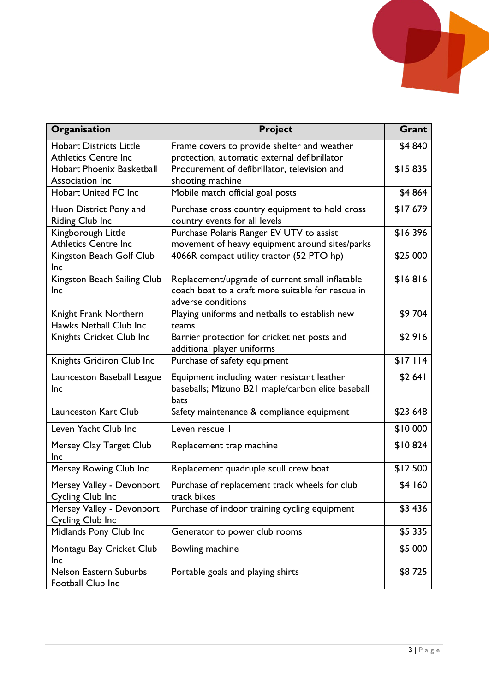

| Organisation                     | <b>Project</b>                                    | Grant     |
|----------------------------------|---------------------------------------------------|-----------|
| <b>Hobart Districts Little</b>   | Frame covers to provide shelter and weather       | \$4 840   |
| <b>Athletics Centre Inc</b>      | protection, automatic external defibrillator      |           |
| <b>Hobart Phoenix Basketball</b> | Procurement of defibrillator, television and      | \$15835   |
| Association Inc                  | shooting machine                                  |           |
| <b>Hobart United FC Inc</b>      | Mobile match official goal posts                  | \$4 864   |
| Huon District Pony and           | Purchase cross country equipment to hold cross    | \$17679   |
| Riding Club Inc                  | country events for all levels                     |           |
| Kingborough Little               | Purchase Polaris Ranger EV UTV to assist          | \$16396   |
| <b>Athletics Centre Inc</b>      | movement of heavy equipment around sites/parks    |           |
| Kingston Beach Golf Club<br>Inc  | 4066R compact utility tractor (52 PTO hp)         | \$25 000  |
| Kingston Beach Sailing Club      | Replacement/upgrade of current small inflatable   | \$16816   |
| Inc                              | coach boat to a craft more suitable for rescue in |           |
|                                  | adverse conditions                                |           |
| Knight Frank Northern            | Playing uniforms and netballs to establish new    | \$9 704   |
| Hawks Netball Club Inc           | teams                                             |           |
| Knights Cricket Club Inc         | Barrier protection for cricket net posts and      | \$2916    |
|                                  | additional player uniforms                        |           |
| Knights Gridiron Club Inc        | Purchase of safety equipment                      | \$17114   |
| Launceston Baseball League       | Equipment including water resistant leather       | \$2641    |
| Inc                              | baseballs; Mizuno B21 maple/carbon elite baseball |           |
|                                  | bats                                              |           |
| <b>Launceston Kart Club</b>      | Safety maintenance & compliance equipment         | \$23 648  |
| Leven Yacht Club Inc             | Leven rescue I                                    | \$10 000  |
| Mersey Clay Target Club          | Replacement trap machine                          | \$10824   |
| Inc                              |                                                   |           |
| Mersey Rowing Club Inc           | Replacement quadruple scull crew boat             | \$12 500  |
| Mersey Valley - Devonport        | Purchase of replacement track wheels for club     | \$4 160   |
| Cycling Club Inc                 | track bikes                                       |           |
| Mersey Valley - Devonport        | Purchase of indoor training cycling equipment     | \$3 436   |
| Cycling Club Inc                 |                                                   |           |
| Midlands Pony Club Inc           | Generator to power club rooms                     | \$5 3 3 5 |
| Montagu Bay Cricket Club         | Bowling machine                                   | \$5 000   |
| <b>Inc</b>                       |                                                   |           |
| Nelson Eastern Suburbs           | Portable goals and playing shirts                 | \$8725    |
| Football Club Inc                |                                                   |           |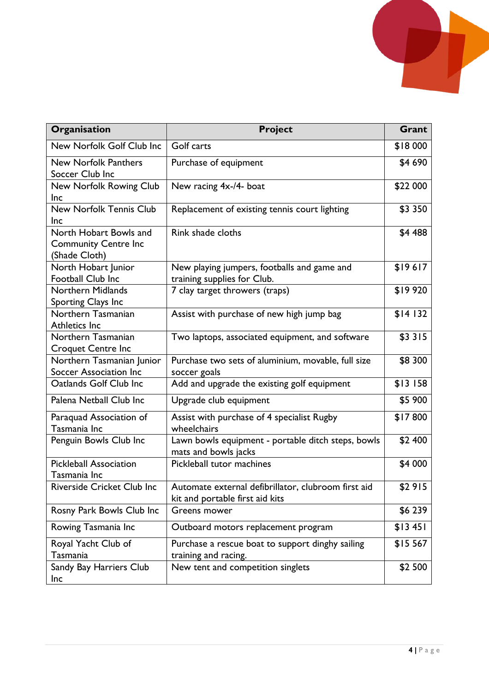

| Organisation                                                           | <b>Project</b>                                                                         | Grant       |
|------------------------------------------------------------------------|----------------------------------------------------------------------------------------|-------------|
| New Norfolk Golf Club Inc                                              | Golf carts                                                                             | \$18 000    |
| <b>New Norfolk Panthers</b><br>Soccer Club Inc                         | Purchase of equipment                                                                  | \$4 690     |
| New Norfolk Rowing Club<br><b>Inc</b>                                  | New racing 4x-/4- boat                                                                 | \$22 000    |
| New Norfolk Tennis Club<br><b>Inc</b>                                  | Replacement of existing tennis court lighting                                          | \$3 350     |
| North Hobart Bowls and<br><b>Community Centre Inc</b><br>(Shade Cloth) | Rink shade cloths                                                                      | \$4 488     |
| North Hobart Junior<br>Football Club Inc                               | New playing jumpers, footballs and game and<br>training supplies for Club.             | \$19617     |
| <b>Northern Midlands</b><br>Sporting Clays Inc                         | 7 clay target throwers (traps)                                                         | \$19920     |
| Northern Tasmanian<br><b>Athletics Inc</b>                             | Assist with purchase of new high jump bag                                              | \$14 132    |
| Northern Tasmanian<br><b>Croquet Centre Inc</b>                        | Two laptops, associated equipment, and software                                        | \$3 3 1 5   |
| Northern Tasmanian Junior<br>Soccer Association Inc                    | Purchase two sets of aluminium, movable, full size<br>soccer goals                     | \$8 300     |
| Oatlands Golf Club Inc                                                 | Add and upgrade the existing golf equipment                                            | $$13$ $158$ |
| Palena Netball Club Inc                                                | Upgrade club equipment                                                                 | \$5 900     |
| Paraquad Association of<br>Tasmania Inc                                | Assist with purchase of 4 specialist Rugby<br>wheelchairs                              | \$17800     |
| Penguin Bowls Club Inc                                                 | Lawn bowls equipment - portable ditch steps, bowls<br>mats and bowls jacks             | \$2 400     |
| <b>Pickleball Association</b><br>Tasmania Inc                          | Pickleball tutor machines                                                              | \$4 000     |
| Riverside Cricket Club Inc                                             | Automate external defibrillator, clubroom first aid<br>kit and portable first aid kits | \$2915      |
| Rosny Park Bowls Club Inc                                              | Greens mower                                                                           | \$6 239     |
| Rowing Tasmania Inc                                                    | Outboard motors replacement program                                                    | \$13451     |
| Royal Yacht Club of<br>Tasmania                                        | Purchase a rescue boat to support dinghy sailing<br>training and racing.               | \$15 567    |
| Sandy Bay Harriers Club<br>Inc                                         | New tent and competition singlets                                                      | \$2 500     |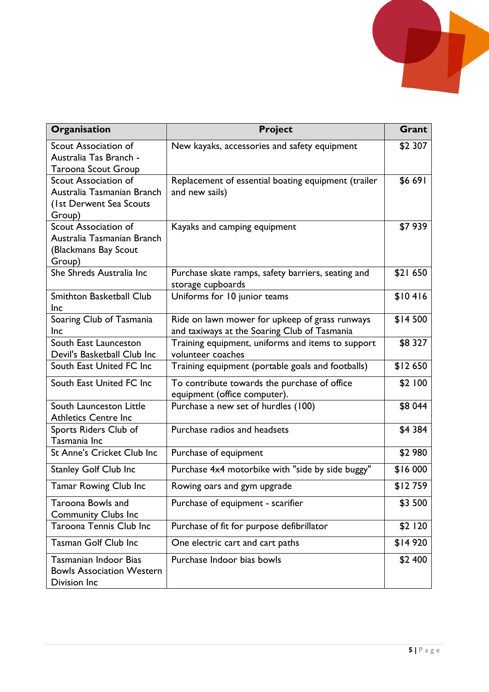

| Organisation                                                                         | <b>Project</b>                                                                                 | Grant    |
|--------------------------------------------------------------------------------------|------------------------------------------------------------------------------------------------|----------|
| Scout Association of<br>Australia Tas Branch -                                       | New kayaks, accessories and safety equipment                                                   | \$2 307  |
| <b>Taroona Scout Group</b><br>Scout Association of                                   |                                                                                                |          |
| Australia Tasmanian Branch<br>(1st Derwent Sea Scouts<br>Group)                      | Replacement of essential boating equipment (trailer<br>and new sails)                          | \$6 691  |
| Scout Association of<br>Australia Tasmanian Branch<br>(Blackmans Bay Scout<br>Group) | Kayaks and camping equipment                                                                   | \$7939   |
| She Shreds Australia Inc                                                             | Purchase skate ramps, safety barriers, seating and<br>storage cupboards                        | \$21 650 |
| Smithton Basketball Club<br><b>Inc</b>                                               | Uniforms for 10 junior teams                                                                   | \$10416  |
| Soaring Club of Tasmania<br>Inc                                                      | Ride on lawn mower for upkeep of grass runways<br>and taxiways at the Soaring Club of Tasmania | \$14500  |
| South East Launceston<br>Devil's Basketball Club Inc                                 | Training equipment, uniforms and items to support<br>volunteer coaches                         | \$8 327  |
| South East United FC Inc                                                             | Training equipment (portable goals and footballs)                                              | \$12650  |
| South East United FC Inc                                                             | To contribute towards the purchase of office<br>equipment (office computer).                   | \$2 100  |
| South Launceston Little<br><b>Athletics Centre Inc</b>                               | Purchase a new set of hurdles (100)                                                            | \$8 044  |
| Sports Riders Club of<br>Tasmania Inc                                                | Purchase radios and headsets                                                                   | \$4 384  |
| St Anne's Cricket Club Inc                                                           | Purchase of equipment                                                                          | \$2 980  |
| <b>Stanley Golf Club Inc</b>                                                         | Purchase 4x4 motorbike with "side by side buggy"                                               | \$16 000 |
| Tamar Rowing Club Inc                                                                | Rowing oars and gym upgrade                                                                    | \$12759  |
| Taroona Bowls and<br><b>Community Clubs Inc</b>                                      | Purchase of equipment - scarifier                                                              | \$3 500  |
| Taroona Tennis Club Inc                                                              | Purchase of fit for purpose defibrillator                                                      | \$2 120  |
| <b>Tasman Golf Club Inc</b>                                                          | One electric cart and cart paths                                                               | \$14 920 |
| <b>Tasmanian Indoor Bias</b><br><b>Bowls Association Western</b><br>Division Inc     | Purchase Indoor bias bowls                                                                     | \$2 400  |